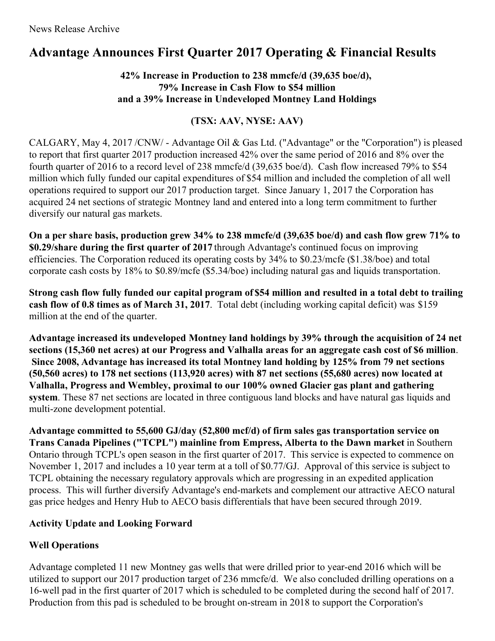# **Advantage Announces First Quarter 2017 Operating & Financial Results**

## **42% Increase in Production to 238 mmcfe/d (39,635 boe/d), 79% Increase in Cash Flow to \$54 million and a 39% Increase in Undeveloped Montney Land Holdings**

# **(TSX: AAV, NYSE: AAV)**

CALGARY, May 4, 2017 /CNW/ - Advantage Oil & Gas Ltd. ("Advantage" or the "Corporation") is pleased to report that first quarter 2017 production increased 42% over the same period of 2016 and 8% over the fourth quarter of 2016 to a record level of 238 mmcfe/d (39,635 boe/d). Cash flow increased 79% to \$54 million which fully funded our capital expenditures of \$54 million and included the completion of all well operations required to support our 2017 production target. Since January 1, 2017 the Corporation has acquired 24 net sections of strategic Montney land and entered into a long term commitment to further diversify our natural gas markets.

On a per share basis, production grew 34% to 238 mmcfe/d (39,635 boe/d) and cash flow grew 71% to **\$0.29/share during the first quarter of 2017** through Advantage's continued focus on improving efficiencies. The Corporation reduced its operating costs by 34% to \$0.23/mcfe (\$1.38/boe) and total corporate cash costs by 18% to \$0.89/mcfe (\$5.34/boe) including natural gas and liquids transportation.

Strong cash flow fully funded our capital program of \$54 million and resulted in a total debt to trailing **cash flow of 0.8 times as of March 31, 2017**. Total debt (including working capital deficit) was \$159 million at the end of the quarter.

**Advantage increased its undeveloped Montney land holdings by 39% through the acquisition of 24 net** sections (15,360 net acres) at our Progress and Valhalla areas for an aggregate cash cost of \$6 million. **Since 2008, Advantage has increased its total Montney land holding by 125% from 79 net sections (50,560 acres) to 178 net sections (113,920 acres) with 87 net sections (55,680 acres) now located at Valhalla, Progress and Wembley, proximal to our 100% owned Glacier gas plant and gathering system**. These 87 net sections are located in three contiguous land blocks and have natural gas liquids and multi-zone development potential.

**Advantage committed to 55,600 GJ/day (52,800 mcf/d) of firm sales gas transportation service on Trans Canada Pipelines ("TCPL") mainline from Empress, Alberta to the Dawn market** in Southern Ontario through TCPL's open season in the first quarter of 2017. This service is expected to commence on November 1, 2017 and includes a 10 year term at a toll of \$0.77/GJ. Approval of this service is subject to TCPL obtaining the necessary regulatory approvals which are progressing in an expedited application process. This will further diversify Advantage's end-markets and complement our attractive AECO natural gas price hedges and Henry Hub to AECO basis differentials that have been secured through 2019.

## **Activity Update and Looking Forward**

## **Well Operations**

Advantage completed 11 new Montney gas wells that were drilled prior to year-end 2016 which will be utilized to support our 2017 production target of 236 mmcfe/d. We also concluded drilling operations on a 16-well pad in the first quarter of 2017 which is scheduled to be completed during the second half of 2017. Production from this pad is scheduled to be brought on-stream in 2018 to support the Corporation's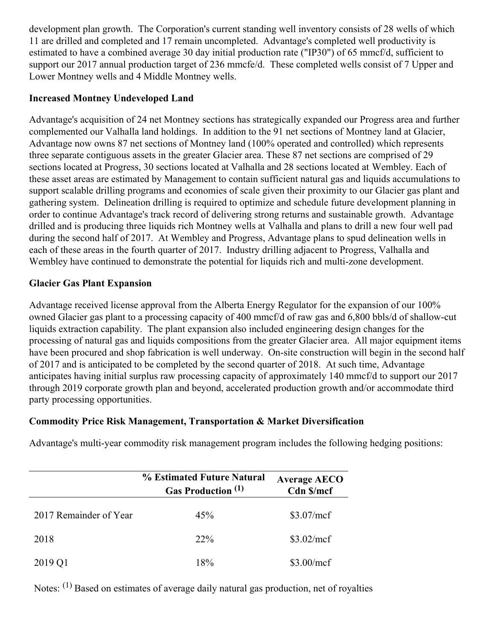development plan growth. The Corporation's current standing well inventory consists of 28 wells of which 11 are drilled and completed and 17 remain uncompleted. Advantage's completed well productivity is estimated to have a combined average 30 day initial production rate ("IP30") of 65 mmcf/d, sufficient to support our 2017 annual production target of 236 mmcfe/d. These completed wells consist of 7 Upper and Lower Montney wells and 4 Middle Montney wells.

### **Increased Montney Undeveloped Land**

Advantage's acquisition of 24 net Montney sections has strategically expanded our Progress area and further complemented our Valhalla land holdings. In addition to the 91 net sections of Montney land at Glacier, Advantage now owns 87 net sections of Montney land (100% operated and controlled) which represents three separate contiguous assets in the greater Glacier area. These 87 net sections are comprised of 29 sections located at Progress, 30 sections located at Valhalla and 28 sections located at Wembley. Each of these asset areas are estimated by Management to contain sufficient natural gas and liquids accumulations to support scalable drilling programs and economies of scale given their proximity to our Glacier gas plant and gathering system. Delineation drilling is required to optimize and schedule future development planning in order to continue Advantage's track record of delivering strong returns and sustainable growth. Advantage drilled and is producing three liquids rich Montney wells at Valhalla and plans to drill a new four well pad during the second half of 2017. At Wembley and Progress, Advantage plans to spud delineation wells in each of these areas in the fourth quarter of 2017. Industry drilling adjacent to Progress, Valhalla and Wembley have continued to demonstrate the potential for liquids rich and multi-zone development.

## **Glacier Gas Plant Expansion**

Advantage received license approval from the Alberta Energy Regulator for the expansion of our 100% owned Glacier gas plant to a processing capacity of 400 mmcf/d of raw gas and 6,800 bbls/d of shallow-cut liquids extraction capability. The plant expansion also included engineering design changes for the processing of natural gas and liquids compositions from the greater Glacier area. All major equipment items have been procured and shop fabrication is well underway. On-site construction will begin in the second half of 2017 and is anticipated to be completed by the second quarter of 2018. At such time, Advantage anticipates having initial surplus raw processing capacity of approximately 140 mmcf/d to support our 2017 through 2019 corporate growth plan and beyond, accelerated production growth and/or accommodate third party processing opportunities.

#### **Commodity Price Risk Management, Transportation & Market Diversification**

Advantage's multi-year commodity risk management program includes the following hedging positions:

|                        | % Estimated Future Natural<br>Gas Production <sup>(1)</sup> | <b>Average AECO</b><br>Cdn \$/mcf |
|------------------------|-------------------------------------------------------------|-----------------------------------|
| 2017 Remainder of Year | 45%                                                         | \$3.07/mcf                        |
| 2018                   | $22\%$                                                      | \$3.02/mcf                        |
| 2019 Q1                | 18%                                                         | \$3.00/mcf                        |

Notes: <sup>(1)</sup> Based on estimates of average daily natural gas production, net of royalties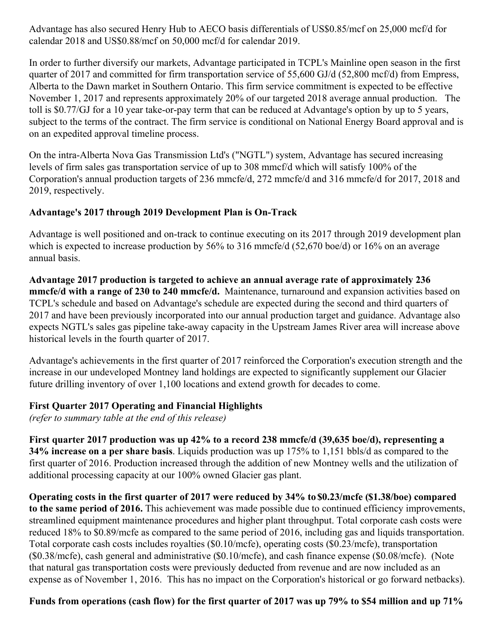Advantage has also secured Henry Hub to AECO basis differentials of US\$0.85/mcf on 25,000 mcf/d for calendar 2018 and US\$0.88/mcf on 50,000 mcf/d for calendar 2019.

In order to further diversify our markets, Advantage participated in TCPL's Mainline open season in the first quarter of 2017 and committed for firm transportation service of 55,600 GJ/d (52,800 mcf/d) from Empress, Alberta to the Dawn market in Southern Ontario. This firm service commitment is expected to be effective November 1, 2017 and represents approximately 20% of our targeted 2018 average annual production. The toll is \$0.77/GJ for a 10 year take-or-pay term that can be reduced at Advantage's option by up to 5 years, subject to the terms of the contract. The firm service is conditional on National Energy Board approval and is on an expedited approval timeline process.

On the intra-Alberta Nova Gas Transmission Ltd's ("NGTL") system, Advantage has secured increasing levels of firm sales gas transportation service of up to 308 mmcf/d which will satisfy 100% of the Corporation's annual production targets of 236 mmcfe/d, 272 mmcfe/d and 316 mmcfe/d for 2017, 2018 and 2019, respectively.

#### **Advantage's 2017 through 2019 Development Plan is On-Track**

Advantage is well positioned and on-track to continue executing on its 2017 through 2019 development plan which is expected to increase production by 56% to 316 mmcfe/d (52,670 boe/d) or 16% on an average annual basis.

**Advantage 2017 production is targeted to achieve an annual average rate of approximately 236 mmcfe/d with a range of 230 to 240 mmcfe/d.** Maintenance, turnaround and expansion activities based on TCPL's schedule and based on Advantage's schedule are expected during the second and third quarters of 2017 and have been previously incorporated into our annual production target and guidance. Advantage also expects NGTL's sales gas pipeline take-away capacity in the Upstream James River area will increase above historical levels in the fourth quarter of 2017.

Advantage's achievements in the first quarter of 2017 reinforced the Corporation's execution strength and the increase in our undeveloped Montney land holdings are expected to significantly supplement our Glacier future drilling inventory of over 1,100 locations and extend growth for decades to come.

#### **First Quarter 2017 Operating and Financial Highlights**

*(refer to summary table at the end of this release)*

**First quarter 2017 production was up 42% to a record 238 mmcfe/d (39,635 boe/d), representing a 34% increase on a per share basis**. Liquids production was up 175% to 1,151 bbls/d as compared to the first quarter of 2016. Production increased through the addition of new Montney wells and the utilization of additional processing capacity at our 100% owned Glacier gas plant.

**Operating costs in the first quarter of 2017 were reduced by 34% to \$0.23/mcfe (\$1.38/boe) compared to the same period of 2016.** This achievement was made possible due to continued efficiency improvements, streamlined equipment maintenance procedures and higher plant throughput. Total corporate cash costs were reduced 18% to \$0.89/mcfe as compared to the same period of 2016, including gas and liquids transportation. Total corporate cash costs includes royalties (\$0.10/mcfe), operating costs (\$0.23/mcfe), transportation (\$0.38/mcfe), cash general and administrative (\$0.10/mcfe), and cash finance expense (\$0.08/mcfe). (Note that natural gas transportation costs were previously deducted from revenue and are now included as an expense as of November 1, 2016. This has no impact on the Corporation's historical or go forward netbacks).

#### Funds from operations (cash flow) for the first quarter of 2017 was up 79% to \$54 million and up 71%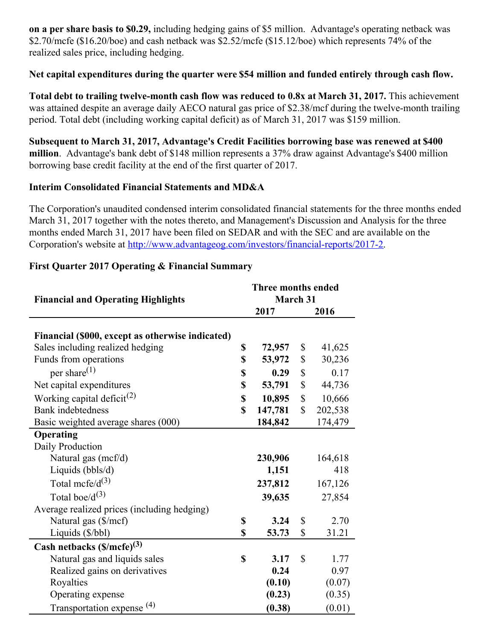**on a per share basis to \$0.29,** including hedging gains of \$5 million. Advantage's operating netback was \$2.70/mcfe (\$16.20/boe) and cash netback was \$2.52/mcfe (\$15.12/boe) which represents 74% of the realized sales price, including hedging.

#### **Net capital expenditures during the quarter were \$54 million and funded entirely through cash flow.**

**Total debt to trailing twelve-month cash flow was reduced to 0.8x at March 31, 2017.** This achievement was attained despite an average daily AECO natural gas price of \$2.38/mcf during the twelve-month trailing period. Total debt (including working capital deficit) as of March 31, 2017 was \$159 million.

**Subsequent to March 31, 2017, Advantage's Credit Facilities borrowing base was renewed at \$400 million**. Advantage's bank debt of \$148 million represents a 37% draw against Advantage's \$400 million borrowing base credit facility at the end of the first quarter of 2017.

#### **Interim Consolidated Financial Statements and MD&A**

The Corporation's unaudited condensed interim consolidated financial statements for the three months ended March 31, 2017 together with the notes thereto, and Management's Discussion and Analysis for the three months ended March 31, 2017 have been filed on SEDAR and with the SEC and are available on the Corporation's website at <http://www.advantageog.com/investors/financial-reports/2017-2>.

| <b>Financial and Operating Highlights</b>        |    | Three months ended<br>March 31 |              |         |  |
|--------------------------------------------------|----|--------------------------------|--------------|---------|--|
|                                                  |    | 2017                           |              | 2016    |  |
|                                                  |    |                                |              |         |  |
| Financial (\$000, except as otherwise indicated) |    |                                |              |         |  |
| Sales including realized hedging                 |    | 72,957                         | \$           | 41,625  |  |
| Funds from operations                            |    | 53,972                         | \$           | 30,236  |  |
| per share $^{(1)}$                               | \$ | 0.29                           | \$           | 0.17    |  |
| Net capital expenditures                         | \$ | 53,791                         | \$           | 44,736  |  |
| Working capital deficit <sup>(2)</sup>           | \$ | 10,895                         | \$           | 10,666  |  |
| <b>Bank</b> indebtedness                         | \$ | 147,781                        | $\mathbb{S}$ | 202,538 |  |
| Basic weighted average shares (000)              |    | 184,842                        |              | 174,479 |  |
| Operating                                        |    |                                |              |         |  |
| Daily Production                                 |    |                                |              |         |  |
| Natural gas (mcf/d)                              |    | 230,906                        |              | 164,618 |  |
| Liquids (bbls/d)                                 |    | 1,151                          |              | 418     |  |
| Total mcfe/ $d^{(3)}$                            |    | 237,812                        |              | 167,126 |  |
| Total boe/ $d^{(3)}$                             |    | 39,635                         |              | 27,854  |  |
| Average realized prices (including hedging)      |    |                                |              |         |  |
| Natural gas (\$/mcf)                             | \$ | 3.24                           | \$           | 2.70    |  |
| Liquids (\$/bbl)                                 | \$ | 53.73                          | \$           | 31.21   |  |
| Cash netbacks $(\frac{S}{m\epsilon}e)^{(3)}$     |    |                                |              |         |  |
| Natural gas and liquids sales                    | \$ | 3.17                           | \$           | 1.77    |  |
| Realized gains on derivatives                    |    | 0.24                           |              | 0.97    |  |
| Royalties                                        |    | (0.10)                         |              | (0.07)  |  |
| Operating expense                                |    | (0.23)                         |              | (0.35)  |  |
| Transportation expense <sup>(4)</sup>            |    | (0.38)                         |              | (0.01)  |  |

#### **First Quarter 2017 Operating & Financial Summary**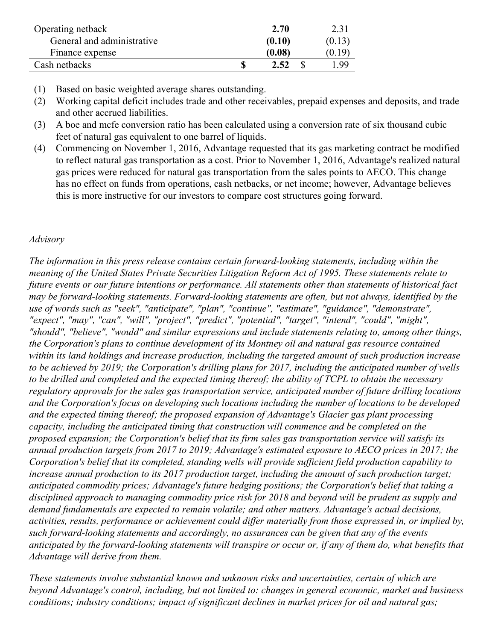| Operating netback          | 2.70   | 2.31   |
|----------------------------|--------|--------|
| General and administrative | (0.10) | (0.13) |
| Finance expense            | (0.08) | (0.19) |
| Cash netbacks              | 2.52   | 199    |

- (1) Based on basic weighted average shares outstanding.
- (2) Working capital deficit includes trade and other receivables, prepaid expenses and deposits, and trade and other accrued liabilities.
- (3) A boe and mcfe conversion ratio has been calculated using a conversion rate of six thousand cubic feet of natural gas equivalent to one barrel of liquids.
- (4) Commencing on November 1, 2016, Advantage requested that its gas marketing contract be modified to reflect natural gas transportation as a cost. Prior to November 1, 2016, Advantage's realized natural gas prices were reduced for natural gas transportation from the sales points to AECO. This change has no effect on funds from operations, cash netbacks, or net income; however, Advantage believes this is more instructive for our investors to compare cost structures going forward.

#### *Advisory*

*The information in this press release contains certain forward-looking statements, including within the meaning of the United States Private Securities Litigation Reform Act of 1995. These statements relate to future events or our future intentions or performance. All statements other than statements of historical fact may be forward-looking statements. Forward-looking statements are often, but not always, identified by the use of words such as "seek", "anticipate", "plan", "continue", "estimate", "guidance", "demonstrate", "expect", "may", "can", "will", "project", "predict", "potential", "target", "intend", "could", "might", "should", "believe", "would" and similar expressions and include statements relating to, among other things, the Corporation's plans to continue development of its Montney oil and natural gas resource contained within its land holdings and increase production, including the targeted amount of such production increase* to be achieved by 2019; the Corporation's drilling plans for 2017, including the anticipated number of wells to be drilled and completed and the expected timing thereof; the ability of TCPL to obtain the necessary *regulatory approvals for the sales gas transportation service, anticipated number of future drilling locations and the Corporation's focus on developing such locations including the number of locations to be developed and the expected timing thereof; the proposed expansion of Advantage's Glacier gas plant processing capacity, including the anticipated timing that construction will commence and be completed on the proposed expansion; the Corporation's belief that its firm sales gas transportation service will satisfy its annual production targets from 2017 to 2019; Advantage's estimated exposure to AECO prices in 2017; the Corporation's belief that its completed, standing wells will provide suf icient field production capability to increase annual production to its 2017 production target, including the amount of such production target; anticipated commodity prices; Advantage's future hedging positions; the Corporation's belief that taking a disciplined approach to managing commodity price risk for 2018 and beyond will be prudent as supply and demand fundamentals are expected to remain volatile; and other matters. Advantage's actual decisions, activities, results, performance or achievement could dif er materially from those expressed in, or implied by, such forward-looking statements and accordingly, no assurances can be given that any of the events* anticipated by the forward-looking statements will transpire or occur or, if any of them do, what benefits that *Advantage will derive from them.*

*These statements involve substantial known and unknown risks and uncertainties, certain of which are beyond Advantage's control, including, but not limited to: changes in general economic, market and business conditions; industry conditions; impact of significant declines in market prices for oil and natural gas;*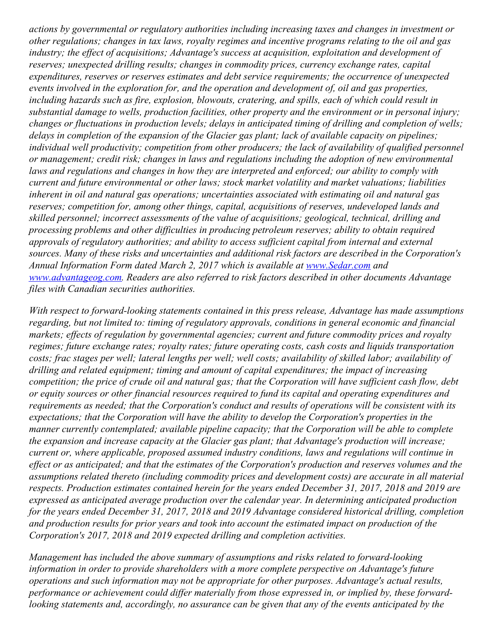*actions by governmental or regulatory authorities including increasing taxes and changes in investment or* other regulations; changes in tax laws, royalty regimes and incentive programs relating to the oil and gas *industry; the ef ect of acquisitions; Advantage's success at acquisition, exploitation and development of reserves; unexpected drilling results; changes in commodity prices, currency exchange rates, capital expenditures, reserves or reserves estimates and debt service requirements; the occurrence of unexpected events involved in the exploration for, and the operation and development of, oil and gas properties, including hazards such as fire, explosion, blowouts, cratering, and spills, each of which could result in substantial damage to wells, production facilities, other property and the environment or in personal injury; changes or fluctuations in production levels; delays in anticipated timing of drilling and completion of wells; delays in completion of the expansion of the Glacier gas plant; lack of available capacity on pipelines; individual well productivity; competition from other producers; the lack of availability of qualified personnel or management; credit risk; changes in laws and regulations including the adoption of new environmental laws and regulations and changes in how they are interpreted and enforced; our ability to comply with current and future environmental or other laws; stock market volatility and market valuations; liabilities inherent in oil and natural gas operations; uncertainties associated with estimating oil and natural gas reserves; competition for, among other things, capital, acquisitions of reserves, undeveloped lands and skilled personnel; incorrect assessments of the value of acquisitions; geological, technical, drilling and processing problems and other dif iculties in producing petroleum reserves; ability to obtain required approvals of regulatory authorities; and ability to access suf icient capital from internal and external sources. Many of these risks and uncertainties and additional risk factors are described in the Corporation's Annual Information Form dated March 2, 2017 which is available at [www.Sedar.com](http://www.sedar.com) and [www.advantageog.com](http://www.advantageog.com). Readers are also referred to risk factors described in other documents Advantage files with Canadian securities authorities.*

*With respect to forward-looking statements contained in this press release, Advantage has made assumptions regarding, but not limited to: timing of regulatory approvals, conditions in general economic and financial markets; ef ects of regulation by governmental agencies; current and future commodity prices and royalty regimes; future exchange rates; royalty rates; future operating costs, cash costs and liquids transportation* costs; frac stages per well; lateral lengths per well; well costs; availability of skilled labor; availability of *drilling and related equipment; timing and amount of capital expenditures; the impact of increasing* competition; the price of crude oil and natural gas; that the Corporation will have sufficient cash flow, debt *or equity sources or other financial resources required to fund its capital and operating expenditures and requirements as needed; that the Corporation's conduct and results of operations will be consistent with its expectations; that the Corporation will have the ability to develop the Corporation's properties in the manner currently contemplated; available pipeline capacity; that the Corporation will be able to complete the expansion and increase capacity at the Glacier gas plant; that Advantage's production will increase; current or, where applicable, proposed assumed industry conditions, laws and regulations will continue in* effect or as anticipated; and that the estimates of the Corporation's production and reserves volumes and the *assumptions related thereto (including commodity prices and development costs) are accurate in all material respects. Production estimates contained herein for the years ended December 31, 2017, 2018 and 2019 are expressed as anticipated average production over the calendar year. In determining anticipated production for the years ended December 31, 2017, 2018 and 2019 Advantage considered historical drilling, completion and production results for prior years and took into account the estimated impact on production of the Corporation's 2017, 2018 and 2019 expected drilling and completion activities.*

*Management has included the above summary of assumptions and risks related to forward-looking information in order to provide shareholders with a more complete perspective on Advantage's future operations and such information may not be appropriate for other purposes. Advantage's actual results, performance or achievement could dif er materially from those expressed in, or implied by, these forwardlooking statements and, accordingly, no assurance can be given that any of the events anticipated by the*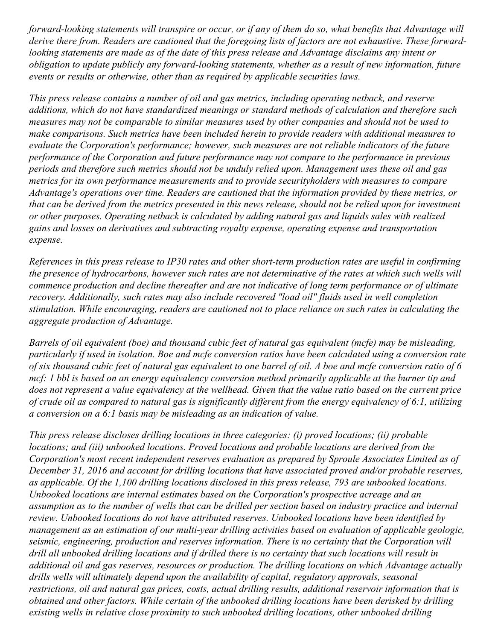forward-looking statements will transpire or occur, or if any of them do so, what benefits that Advantage will derive there from. Readers are cautioned that the foregoing lists of factors are not exhaustive. These forwardlooking statements are made as of the date of this press release and Advantage disclaims any intent or *obligation to update publicly any forward-looking statements, whether as a result of new information, future events or results or otherwise, other than as required by applicable securities laws.*

*This press release contains a number of oil and gas metrics, including operating netback, and reserve additions, which do not have standardized meanings or standard methods of calculation and therefore such* measures may not be comparable to similar measures used by other companies and should not be used to *make comparisons. Such metrics have been included herein to provide readers with additional measures to evaluate the Corporation's performance; however, such measures are not reliable indicators of the future performance of the Corporation and future performance may not compare to the performance in previous periods and therefore such metrics should not be unduly relied upon. Management uses these oil and gas metrics for its own performance measurements and to provide securityholders with measures to compare Advantage's operations over time. Readers are cautioned that the information provided by these metrics, or* that can be derived from the metrics presented in this news release, should not be relied upon for investment *or other purposes. Operating netback is calculated by adding natural gas and liquids sales with realized gains and losses on derivatives and subtracting royalty expense, operating expense and transportation expense.*

References in this press release to IP30 rates and other short-term production rates are useful in confirming the presence of hydrocarbons, however such rates are not determinative of the rates at which such wells will *commence production and decline thereafter and are not indicative of long term performance or of ultimate recovery. Additionally, such rates may also include recovered "load oil" fluids used in well completion stimulation. While encouraging, readers are cautioned not to place reliance on such rates in calculating the aggregate production of Advantage.*

Barrels of oil equivalent (boe) and thousand cubic feet of natural gas equivalent (mcfe) may be misleading, particularly if used in isolation. Boe and mcfe conversion ratios have been calculated using a conversion rate of six thousand cubic feet of natural gas equivalent to one barrel of oil. A boe and mcfe conversion ratio of 6 mcf: 1 bbl is based on an energy equivalency conversion method primarily applicable at the burner tip and does not represent a value equivalency at the wellhead. Given that the value ratio based on the current price of crude oil as compared to natural gas is significantly different from the energy equivalency of 6:1, utilizing *a conversion on a 6:1 basis may be misleading as an indication of value.*

*This press release discloses drilling locations in three categories: (i) proved locations; (ii) probable locations; and (iii) unbooked locations. Proved locations and probable locations are derived from the Corporation's most recent independent reserves evaluation as prepared by Sproule Associates Limited as of December 31, 2016 and account for drilling locations that have associated proved and/or probable reserves, as applicable. Of the 1,100 drilling locations disclosed in this press release, 793 are unbooked locations. Unbooked locations are internal estimates based on the Corporation's prospective acreage and an* assumption as to the number of wells that can be drilled per section based on industry practice and internal *review. Unbooked locations do not have attributed reserves. Unbooked locations have been identified by management as an estimation of our multi-year drilling activities based on evaluation of applicable geologic, seismic, engineering, production and reserves information. There is no certainty that the Corporation will* drill all unbooked drilling locations and if drilled there is no certainty that such locations will result in *additional oil and gas reserves, resources or production. The drilling locations on which Advantage actually drills wells will ultimately depend upon the availability of capital, regulatory approvals, seasonal restrictions, oil and natural gas prices, costs, actual drilling results, additional reservoir information that is obtained and other factors. While certain of the unbooked drilling locations have been derisked by drilling existing wells in relative close proximity to such unbooked drilling locations, other unbooked drilling*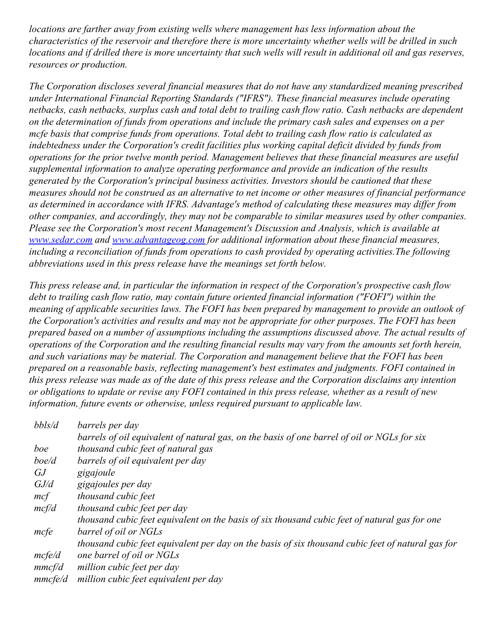*locations are farther away from existing wells where management has less information about the* characteristics of the reservoir and therefore there is more uncertainty whether wells will be drilled in such locations and if drilled there is more uncertainty that such wells will result in additional oil and gas reserves, *resources or production.*

*The Corporation discloses several financial measures that do not have any standardized meaning prescribed under International Financial Reporting Standards ("IFRS"). These financial measures include operating* netbacks, cash netbacks, surplus cash and total debt to trailing cash flow ratio. Cash netbacks are dependent on the determination of funds from operations and include the primary cash sales and expenses on a per *mcfe basis that comprise funds from operations. Total debt to trailing cash flow ratio is calculated as indebtedness under the Corporation's credit facilities plus working capital deficit divided by funds from operations for the prior twelve month period. Management believes that these financial measures are useful supplemental information to analyze operating performance and provide an indication of the results generated by the Corporation's principal business activities. Investors should be cautioned that these* measures should not be construed as an alternative to net income or other measures of financial performance *as determined in accordance with IFRS. Advantage's method of calculating these measures may dif er from other companies, and accordingly, they may not be comparable to similar measures used by other companies. Please see the Corporation's most recent Management's Discussion and Analysis, which is available at [www.sedar.com](http://www.sedar.com) and [www.advantageog.com](http://www.advantageog.com) for additional information about these financial measures, including a reconciliation of funds from operations to cash provided by operating activities.The following abbreviations used in this press release have the meanings set forth below.*

*This press release and, in particular the information in respect of the Corporation's prospective cash flow debt to trailing cash flow ratio, may contain future oriented financial information ("FOFI") within the meaning of applicable securities laws. The FOFI has been prepared by management to provide an outlook of the Corporation's activities and results and may not be appropriate for other purposes. The FOFI has been prepared based on a number of assumptions including the assumptions discussed above. The actual results of* operations of the Corporation and the resulting financial results may vary from the amounts set forth herein, *and such variations may be material. The Corporation and management believe that the FOFI has been prepared on a reasonable basis, reflecting management's best estimates and judgments. FOFI contained in* this press release was made as of the date of this press release and the Corporation disclaims any intention or obligations to update or revise any FOFI contained in this press release, whether as a result of new *information, future events or otherwise, unless required pursuant to applicable law.*

| bbls/d  | barrels per day                                                                                   |
|---------|---------------------------------------------------------------------------------------------------|
|         | barrels of oil equivalent of natural gas, on the basis of one barrel of oil or NGLs for six       |
| boe     | thousand cubic feet of natural gas                                                                |
| boe/d   | barrels of oil equivalent per day                                                                 |
| GJ      | gigajoule                                                                                         |
| GJ/d    | gigajoules per day                                                                                |
| mcf     | thousand cubic feet                                                                               |
| mcf/d   | thousand cubic feet per day                                                                       |
|         | thousand cubic feet equivalent on the basis of six thousand cubic feet of natural gas for one     |
| mcfe    | barrel of oil or NGLs                                                                             |
|         | thousand cubic feet equivalent per day on the basis of six thousand cubic feet of natural gas for |
| mcfel   | one barrel of oil or NGLs                                                                         |
| mmcf/d  | million cubic feet per day                                                                        |
| mmcfe/d | million cubic feet equivalent per day                                                             |